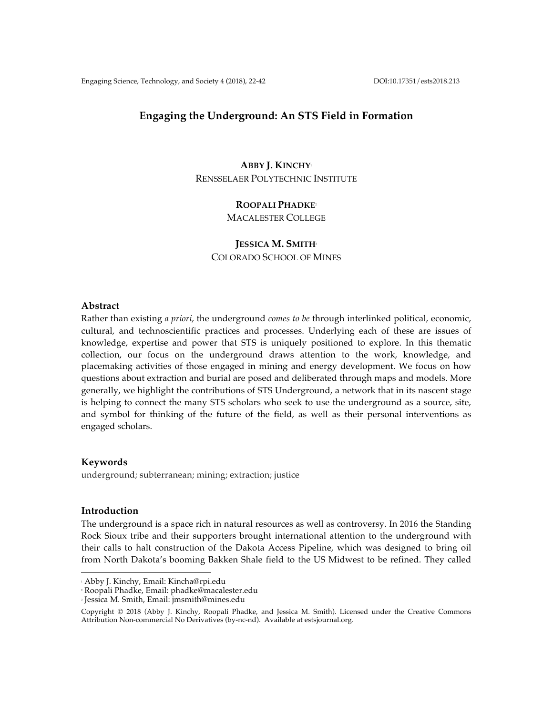# **Engaging the Underground: An STS Field in Formation**

# **ABBY J. KINCHY**<sup>1</sup> RENSSELAER POLYTECHNIC INSTITUTE

### **ROOPALI PHADKE**<sup>2</sup>

MACALESTER COLLEGE

**JESSICA M. SMITH**<sup>3</sup> COLORADO SCHOOL OF MINES

### **Abstract**

Rather than existing *a priori*, the underground *comes to be* through interlinked political, economic, cultural, and technoscientific practices and processes. Underlying each of these are issues of knowledge, expertise and power that STS is uniquely positioned to explore. In this thematic collection, our focus on the underground draws attention to the work, knowledge, and placemaking activities of those engaged in mining and energy development. We focus on how questions about extraction and burial are posed and deliberated through maps and models. More generally, we highlight the contributions of STS Underground, a network that in its nascent stage is helping to connect the many STS scholars who seek to use the underground as a source, site, and symbol for thinking of the future of the field, as well as their personal interventions as engaged scholars.

# **Keywords**

underground; subterranean; mining; extraction; justice

# **Introduction**

The underground is a space rich in natural resources as well as controversy. In 2016 the Standing Rock Sioux tribe and their supporters brought international attention to the underground with their calls to halt construction of the Dakota Access Pipeline, which was designed to bring oil from North Dakota's booming Bakken Shale field to the US Midwest to be refined. They called

 <sup>1</sup> Abby J. Kinchy, Email: Kincha@rpi.edu

<sup>2</sup> Roopali Phadke, Email: phadke@macalester.edu

<sup>3</sup> Jessica M. Smith, Email: jmsmith@mines.edu

Copyright © 2018 (Abby J. Kinchy, Roopali Phadke, and Jessica M. Smith). Licensed under the Creative Commons Attribution Non-commercial No Derivatives (by-nc-nd). Available at estsjournal.org.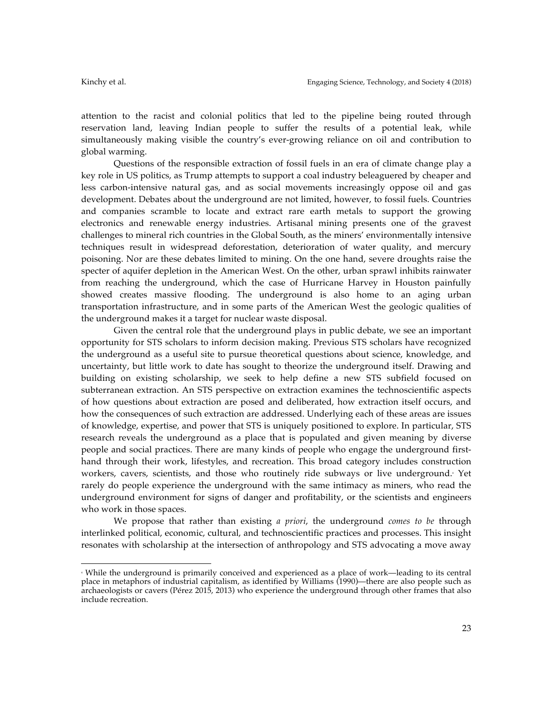attention to the racist and colonial politics that led to the pipeline being routed through reservation land, leaving Indian people to suffer the results of a potential leak, while simultaneously making visible the country's ever-growing reliance on oil and contribution to global warming.

Questions of the responsible extraction of fossil fuels in an era of climate change play a key role in US politics, as Trump attempts to support a coal industry beleaguered by cheaper and less carbon-intensive natural gas, and as social movements increasingly oppose oil and gas development. Debates about the underground are not limited, however, to fossil fuels. Countries and companies scramble to locate and extract rare earth metals to support the growing electronics and renewable energy industries. Artisanal mining presents one of the gravest challenges to mineral rich countries in the Global South, as the miners' environmentally intensive techniques result in widespread deforestation, deterioration of water quality, and mercury poisoning. Nor are these debates limited to mining. On the one hand, severe droughts raise the specter of aquifer depletion in the American West. On the other, urban sprawl inhibits rainwater from reaching the underground, which the case of Hurricane Harvey in Houston painfully showed creates massive flooding. The underground is also home to an aging urban transportation infrastructure, and in some parts of the American West the geologic qualities of the underground makes it a target for nuclear waste disposal.

Given the central role that the underground plays in public debate, we see an important opportunity for STS scholars to inform decision making. Previous STS scholars have recognized the underground as a useful site to pursue theoretical questions about science, knowledge, and uncertainty, but little work to date has sought to theorize the underground itself. Drawing and building on existing scholarship, we seek to help define a new STS subfield focused on subterranean extraction. An STS perspective on extraction examines the technoscientific aspects of how questions about extraction are posed and deliberated, how extraction itself occurs, and how the consequences of such extraction are addressed. Underlying each of these areas are issues of knowledge, expertise, and power that STS is uniquely positioned to explore. In particular, STS research reveals the underground as a place that is populated and given meaning by diverse people and social practices. There are many kinds of people who engage the underground firsthand through their work, lifestyles, and recreation. This broad category includes construction workers, cavers, scientists, and those who routinely ride subways or live underground. Yet rarely do people experience the underground with the same intimacy as miners, who read the underground environment for signs of danger and profitability, or the scientists and engineers who work in those spaces.

We propose that rather than existing *a priori*, the underground *comes to be* through interlinked political, economic, cultural, and technoscientific practices and processes. This insight resonates with scholarship at the intersection of anthropology and STS advocating a move away

 

<sup>4</sup> While the underground is primarily conceived and experienced as a place of work—leading to its central place in metaphors of industrial capitalism, as identified by Williams (1990)—there are also people such as archaeologists or cavers (Pérez 2015, 2013) who experience the underground through other frames that also include recreation.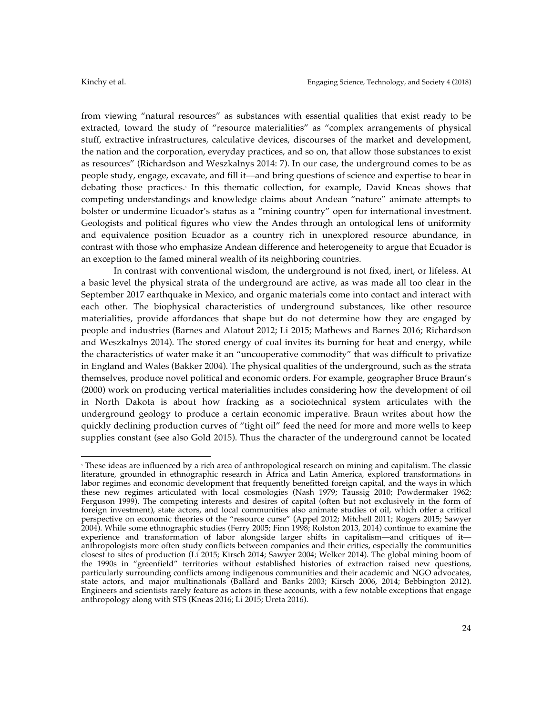from viewing "natural resources" as substances with essential qualities that exist ready to be extracted, toward the study of "resource materialities" as "complex arrangements of physical stuff, extractive infrastructures, calculative devices, discourses of the market and development, the nation and the corporation, everyday practices, and so on, that allow those substances to exist as resources" (Richardson and Weszkalnys 2014: 7). In our case, the underground comes to be as people study, engage, excavate, and fill it––and bring questions of science and expertise to bear in debating those practices.<sup>5</sup> In this thematic collection, for example, David Kneas shows that competing understandings and knowledge claims about Andean "nature" animate attempts to bolster or undermine Ecuador's status as a "mining country" open for international investment. Geologists and political figures who view the Andes through an ontological lens of uniformity and equivalence position Ecuador as a country rich in unexplored resource abundance, in contrast with those who emphasize Andean difference and heterogeneity to argue that Ecuador is an exception to the famed mineral wealth of its neighboring countries.

In contrast with conventional wisdom, the underground is not fixed, inert, or lifeless. At a basic level the physical strata of the underground are active, as was made all too clear in the September 2017 earthquake in Mexico, and organic materials come into contact and interact with each other. The biophysical characteristics of underground substances, like other resource materialities, provide affordances that shape but do not determine how they are engaged by people and industries (Barnes and Alatout 2012; Li 2015; Mathews and Barnes 2016; Richardson and Weszkalnys 2014). The stored energy of coal invites its burning for heat and energy, while the characteristics of water make it an "uncooperative commodity" that was difficult to privatize in England and Wales (Bakker 2004). The physical qualities of the underground, such as the strata themselves, produce novel political and economic orders. For example, geographer Bruce Braun's (2000) work on producing vertical materialities includes considering how the development of oil in North Dakota is about how fracking as a sociotechnical system articulates with the underground geology to produce a certain economic imperative. Braun writes about how the quickly declining production curves of "tight oil" feed the need for more and more wells to keep supplies constant (see also Gold 2015). Thus the character of the underground cannot be located

<sup>5</sup> These ideas are influenced by a rich area of anthropological research on mining and capitalism. The classic literature, grounded in ethnographic research in Africa and Latin America, explored transformations in labor regimes and economic development that frequently benefitted foreign capital, and the ways in which these new regimes articulated with local cosmologies (Nash 1979; Taussig 2010; Powdermaker 1962; Ferguson 1999). The competing interests and desires of capital (often but not exclusively in the form of foreign investment), state actors, and local communities also animate studies of oil, which offer a critical perspective on economic theories of the "resource curse" (Appel 2012; Mitchell 2011; Rogers 2015; Sawyer 2004). While some ethnographic studies (Ferry 2005; Finn 1998; Rolston 2013, 2014) continue to examine the experience and transformation of labor alongside larger shifts in capitalism––and critiques of it–– anthropologists more often study conflicts between companies and their critics, especially the communities closest to sites of production (Li 2015; Kirsch 2014; Sawyer 2004; Welker 2014). The global mining boom of the 1990s in "greenfield" territories without established histories of extraction raised new questions, particularly surrounding conflicts among indigenous communities and their academic and NGO advocates, state actors, and major multinationals (Ballard and Banks 2003; Kirsch 2006, 2014; Bebbington 2012). Engineers and scientists rarely feature as actors in these accounts, with a few notable exceptions that engage anthropology along with STS (Kneas 2016; Li 2015; Ureta 2016).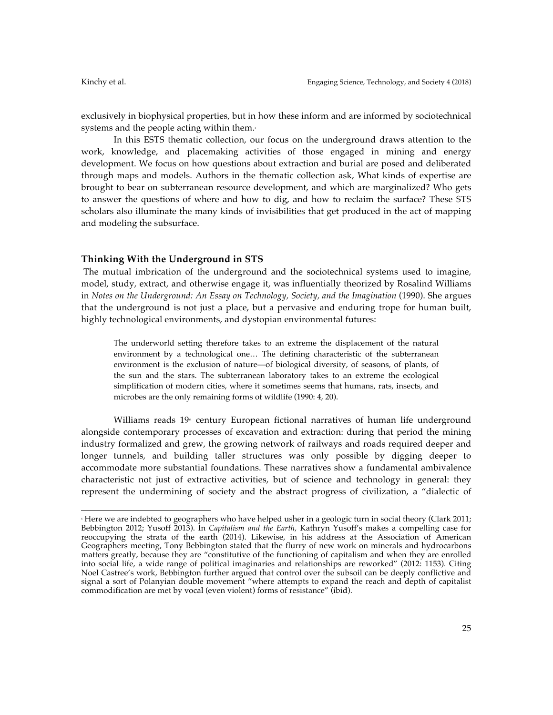exclusively in biophysical properties, but in how these inform and are informed by sociotechnical systems and the people acting within them. $\epsilon$ 

In this ESTS thematic collection, our focus on the underground draws attention to the work, knowledge, and placemaking activities of those engaged in mining and energy development. We focus on how questions about extraction and burial are posed and deliberated through maps and models. Authors in the thematic collection ask, What kinds of expertise are brought to bear on subterranean resource development, and which are marginalized? Who gets to answer the questions of where and how to dig, and how to reclaim the surface? These STS scholars also illuminate the many kinds of invisibilities that get produced in the act of mapping and modeling the subsurface.

## **Thinking With the Underground in STS**

 

The mutual imbrication of the underground and the sociotechnical systems used to imagine, model, study, extract, and otherwise engage it, was influentially theorized by Rosalind Williams in *Notes on the Underground: An Essay on Technology, Society, and the Imagination* (1990). She argues that the underground is not just a place, but a pervasive and enduring trope for human built, highly technological environments, and dystopian environmental futures:

The underworld setting therefore takes to an extreme the displacement of the natural environment by a technological one… The defining characteristic of the subterranean environment is the exclusion of nature—of biological diversity, of seasons, of plants, of the sun and the stars. The subterranean laboratory takes to an extreme the ecological simplification of modern cities, where it sometimes seems that humans, rats, insects, and microbes are the only remaining forms of wildlife (1990: 4, 20).

Williams reads  $19$ <sup>\*</sup> century European fictional narratives of human life underground alongside contemporary processes of excavation and extraction: during that period the mining industry formalized and grew, the growing network of railways and roads required deeper and longer tunnels, and building taller structures was only possible by digging deeper to accommodate more substantial foundations. These narratives show a fundamental ambivalence characteristic not just of extractive activities, but of science and technology in general: they represent the undermining of society and the abstract progress of civilization, a "dialectic of

<sup>6</sup> Here we are indebted to geographers who have helped usher in a geologic turn in social theory (Clark 2011; Bebbington 2012; Yusoff 2013). In *Capitalism and the Earth,* Kathryn Yusoff's makes a compelling case for reoccupying the strata of the earth (2014). Likewise, in his address at the Association of American Geographers meeting, Tony Bebbington stated that the flurry of new work on minerals and hydrocarbons matters greatly, because they are "constitutive of the functioning of capitalism and when they are enrolled into social life, a wide range of political imaginaries and relationships are reworked" (2012: 1153). Citing Noel Castree's work, Bebbington further argued that control over the subsoil can be deeply conflictive and signal a sort of Polanyian double movement "where attempts to expand the reach and depth of capitalist commodification are met by vocal (even violent) forms of resistance" (ibid).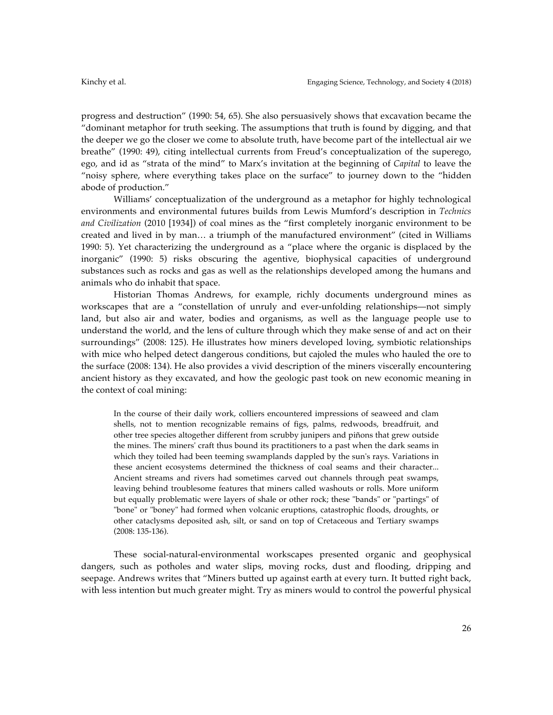progress and destruction" (1990: 54, 65). She also persuasively shows that excavation became the "dominant metaphor for truth seeking. The assumptions that truth is found by digging, and that the deeper we go the closer we come to absolute truth, have become part of the intellectual air we breathe" (1990: 49), citing intellectual currents from Freud's conceptualization of the superego, ego, and id as "strata of the mind" to Marx's invitation at the beginning of *Capital* to leave the "noisy sphere, where everything takes place on the surface" to journey down to the "hidden abode of production."

Williams' conceptualization of the underground as a metaphor for highly technological environments and environmental futures builds from Lewis Mumford's description in *Technics and Civilization* (2010 [1934]) of coal mines as the "first completely inorganic environment to be created and lived in by man… a triumph of the manufactured environment" (cited in Williams 1990: 5). Yet characterizing the underground as a "place where the organic is displaced by the inorganic" (1990: 5) risks obscuring the agentive, biophysical capacities of underground substances such as rocks and gas as well as the relationships developed among the humans and animals who do inhabit that space.

Historian Thomas Andrews, for example, richly documents underground mines as workscapes that are a "constellation of unruly and ever-unfolding relationships—not simply land, but also air and water, bodies and organisms, as well as the language people use to understand the world, and the lens of culture through which they make sense of and act on their surroundings" (2008: 125). He illustrates how miners developed loving, symbiotic relationships with mice who helped detect dangerous conditions, but cajoled the mules who hauled the ore to the surface (2008: 134). He also provides a vivid description of the miners viscerally encountering ancient history as they excavated, and how the geologic past took on new economic meaning in the context of coal mining:

In the course of their daily work, colliers encountered impressions of seaweed and clam shells, not to mention recognizable remains of figs, palms, redwoods, breadfruit, and other tree species altogether different from scrubby junipers and piñons that grew outside the mines. The miners' craft thus bound its practitioners to a past when the dark seams in which they toiled had been teeming swamplands dappled by the sun's rays. Variations in these ancient ecosystems determined the thickness of coal seams and their character... Ancient streams and rivers had sometimes carved out channels through peat swamps, leaving behind troublesome features that miners called washouts or rolls. More uniform but equally problematic were layers of shale or other rock; these "bands" or "partings" of "bone" or "boney" had formed when volcanic eruptions, catastrophic floods, droughts, or other cataclysms deposited ash, silt, or sand on top of Cretaceous and Tertiary swamps (2008: 135-136).

These social-natural-environmental workscapes presented organic and geophysical dangers, such as potholes and water slips, moving rocks, dust and flooding, dripping and seepage. Andrews writes that "Miners butted up against earth at every turn. It butted right back, with less intention but much greater might. Try as miners would to control the powerful physical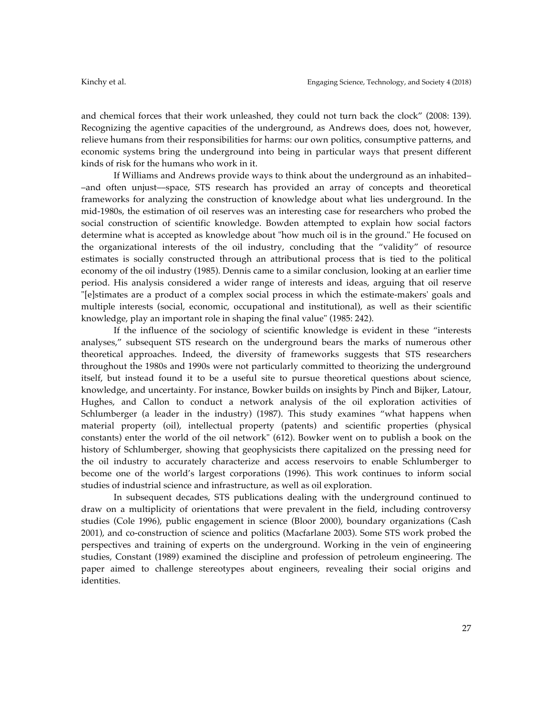and chemical forces that their work unleashed, they could not turn back the clock" (2008: 139). Recognizing the agentive capacities of the underground, as Andrews does, does not, however, relieve humans from their responsibilities for harms: our own politics, consumptive patterns, and economic systems bring the underground into being in particular ways that present different kinds of risk for the humans who work in it.

If Williams and Andrews provide ways to think about the underground as an inhabited– –and often unjust––space, STS research has provided an array of concepts and theoretical frameworks for analyzing the construction of knowledge about what lies underground. In the mid-1980s, the estimation of oil reserves was an interesting case for researchers who probed the social construction of scientific knowledge. Bowden attempted to explain how social factors determine what is accepted as knowledge about "how much oil is in the ground." He focused on the organizational interests of the oil industry, concluding that the "validity" of resource estimates is socially constructed through an attributional process that is tied to the political economy of the oil industry (1985). Dennis came to a similar conclusion, looking at an earlier time period. His analysis considered a wider range of interests and ideas, arguing that oil reserve "[e]stimates are a product of a complex social process in which the estimate-makers' goals and multiple interests (social, economic, occupational and institutional), as well as their scientific knowledge, play an important role in shaping the final value" (1985: 242).

If the influence of the sociology of scientific knowledge is evident in these "interests analyses," subsequent STS research on the underground bears the marks of numerous other theoretical approaches. Indeed, the diversity of frameworks suggests that STS researchers throughout the 1980s and 1990s were not particularly committed to theorizing the underground itself, but instead found it to be a useful site to pursue theoretical questions about science, knowledge, and uncertainty. For instance, Bowker builds on insights by Pinch and Bijker, Latour, Hughes, and Callon to conduct a network analysis of the oil exploration activities of Schlumberger (a leader in the industry) (1987). This study examines "what happens when material property (oil), intellectual property (patents) and scientific properties (physical constants) enter the world of the oil network" (612). Bowker went on to publish a book on the history of Schlumberger, showing that geophysicists there capitalized on the pressing need for the oil industry to accurately characterize and access reservoirs to enable Schlumberger to become one of the world's largest corporations (1996). This work continues to inform social studies of industrial science and infrastructure, as well as oil exploration.

In subsequent decades, STS publications dealing with the underground continued to draw on a multiplicity of orientations that were prevalent in the field, including controversy studies (Cole 1996), public engagement in science (Bloor 2000), boundary organizations (Cash 2001), and co-construction of science and politics (Macfarlane 2003). Some STS work probed the perspectives and training of experts on the underground. Working in the vein of engineering studies, Constant (1989) examined the discipline and profession of petroleum engineering. The paper aimed to challenge stereotypes about engineers, revealing their social origins and identities.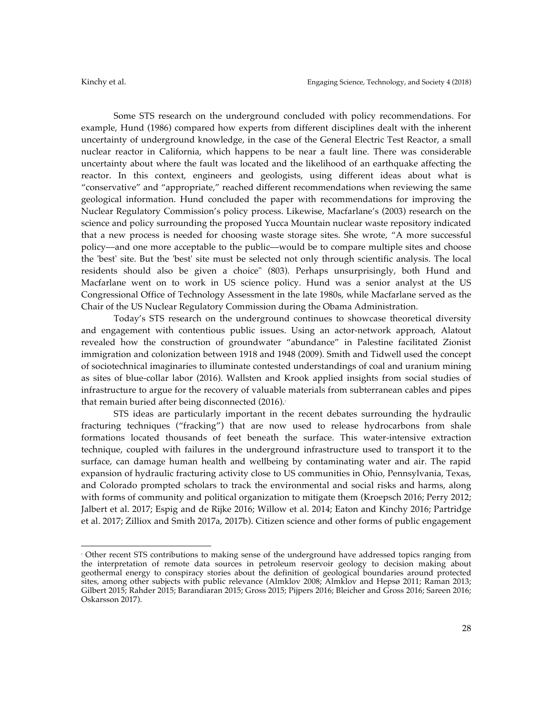Some STS research on the underground concluded with policy recommendations. For example, Hund (1986) compared how experts from different disciplines dealt with the inherent uncertainty of underground knowledge, in the case of the General Electric Test Reactor, a small nuclear reactor in California, which happens to be near a fault line. There was considerable uncertainty about where the fault was located and the likelihood of an earthquake affecting the reactor. In this context, engineers and geologists, using different ideas about what is "conservative" and "appropriate," reached different recommendations when reviewing the same geological information. Hund concluded the paper with recommendations for improving the Nuclear Regulatory Commission's policy process. Likewise, Macfarlane's (2003) research on the science and policy surrounding the proposed Yucca Mountain nuclear waste repository indicated that a new process is needed for choosing waste storage sites. She wrote, "A more successful policy––and one more acceptable to the public––would be to compare multiple sites and choose the 'best' site. But the 'best' site must be selected not only through scientific analysis. The local residents should also be given a choice" (803). Perhaps unsurprisingly, both Hund and Macfarlane went on to work in US science policy. Hund was a senior analyst at the US Congressional Office of Technology Assessment in the late 1980s, while Macfarlane served as the Chair of the US Nuclear Regulatory Commission during the Obama Administration.

Today's STS research on the underground continues to showcase theoretical diversity and engagement with contentious public issues. Using an actor-network approach, Alatout revealed how the construction of groundwater "abundance" in Palestine facilitated Zionist immigration and colonization between 1918 and 1948 (2009). Smith and Tidwell used the concept of sociotechnical imaginaries to illuminate contested understandings of coal and uranium mining as sites of blue-collar labor (2016). Wallsten and Krook applied insights from social studies of infrastructure to argue for the recovery of valuable materials from subterranean cables and pipes that remain buried after being disconnected (2016).<sup>7</sup>

STS ideas are particularly important in the recent debates surrounding the hydraulic fracturing techniques ("fracking") that are now used to release hydrocarbons from shale formations located thousands of feet beneath the surface. This water-intensive extraction technique, coupled with failures in the underground infrastructure used to transport it to the surface, can damage human health and wellbeing by contaminating water and air. The rapid expansion of hydraulic fracturing activity close to US communities in Ohio, Pennsylvania, Texas, and Colorado prompted scholars to track the environmental and social risks and harms, along with forms of community and political organization to mitigate them (Kroepsch 2016; Perry 2012; Jalbert et al. 2017; Espig and de Rijke 2016; Willow et al. 2014; Eaton and Kinchy 2016; Partridge et al. 2017; Zilliox and Smith 2017a, 2017b). Citizen science and other forms of public engagement

 

<sup>7</sup> Other recent STS contributions to making sense of the underground have addressed topics ranging from the interpretation of remote data sources in petroleum reservoir geology to decision making about geothermal energy to conspiracy stories about the definition of geological boundaries around protected sites, among other subjects with public relevance (Almklov 2008; Almklov and Hepsø 2011; Raman 2013; Gilbert 2015; Rahder 2015; Barandiaran 2015; Gross 2015; Pijpers 2016; Bleicher and Gross 2016; Sareen 2016; Oskarsson 2017).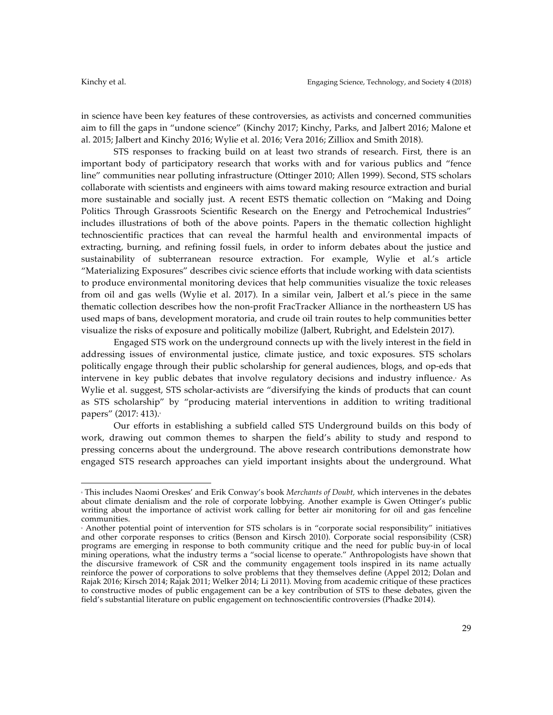in science have been key features of these controversies, as activists and concerned communities aim to fill the gaps in "undone science" (Kinchy 2017; Kinchy, Parks, and Jalbert 2016; Malone et al. 2015; Jalbert and Kinchy 2016; Wylie et al. 2016; Vera 2016; Zilliox and Smith 2018).

STS responses to fracking build on at least two strands of research. First, there is an important body of participatory research that works with and for various publics and "fence line" communities near polluting infrastructure (Ottinger 2010; Allen 1999). Second, STS scholars collaborate with scientists and engineers with aims toward making resource extraction and burial more sustainable and socially just. A recent ESTS thematic collection on "Making and Doing Politics Through Grassroots Scientific Research on the Energy and Petrochemical Industries" includes illustrations of both of the above points. Papers in the thematic collection highlight technoscientific practices that can reveal the harmful health and environmental impacts of extracting, burning, and refining fossil fuels, in order to inform debates about the justice and sustainability of subterranean resource extraction. For example, Wylie et al.'s article "Materializing Exposures" describes civic science efforts that include working with data scientists to produce environmental monitoring devices that help communities visualize the toxic releases from oil and gas wells (Wylie et al. 2017). In a similar vein, Jalbert et al.'s piece in the same thematic collection describes how the non-profit FracTracker Alliance in the northeastern US has used maps of bans, development moratoria, and crude oil train routes to help communities better visualize the risks of exposure and politically mobilize (Jalbert, Rubright, and Edelstein 2017).

Engaged STS work on the underground connects up with the lively interest in the field in addressing issues of environmental justice, climate justice, and toxic exposures. STS scholars politically engage through their public scholarship for general audiences, blogs, and op-eds that intervene in key public debates that involve regulatory decisions and industry influence. As Wylie et al. suggest, STS scholar-activists are "diversifying the kinds of products that can count as STS scholarship" by "producing material interventions in addition to writing traditional papers" (2017: 413).9

Our efforts in establishing a subfield called STS Underground builds on this body of work, drawing out common themes to sharpen the field's ability to study and respond to pressing concerns about the underground. The above research contributions demonstrate how engaged STS research approaches can yield important insights about the underground. What

 <sup>8</sup> This includes Naomi Oreskes' and Erik Conway's book *Merchants of Doubt,* which intervenes in the debates about climate denialism and the role of corporate lobbying. Another example is Gwen Ottinger's public writing about the importance of activist work calling for better air monitoring for oil and gas fenceline communities.<br>• Another potential point of intervention for STS scholars is in "corporate social responsibility" initiatives

and other corporate responses to critics (Benson and Kirsch 2010). Corporate social responsibility (CSR) programs are emerging in response to both community critique and the need for public buy-in of local mining operations, what the industry terms a "social license to operate." Anthropologists have shown that the discursive framework of CSR and the community engagement tools inspired in its name actually reinforce the power of corporations to solve problems that they themselves define (Appel 2012; Dolan and Rajak 2016; Kirsch 2014; Rajak 2011; Welker 2014; Li 2011). Moving from academic critique of these practices to constructive modes of public engagement can be a key contribution of STS to these debates, given the field's substantial literature on public engagement on technoscientific controversies (Phadke 2014).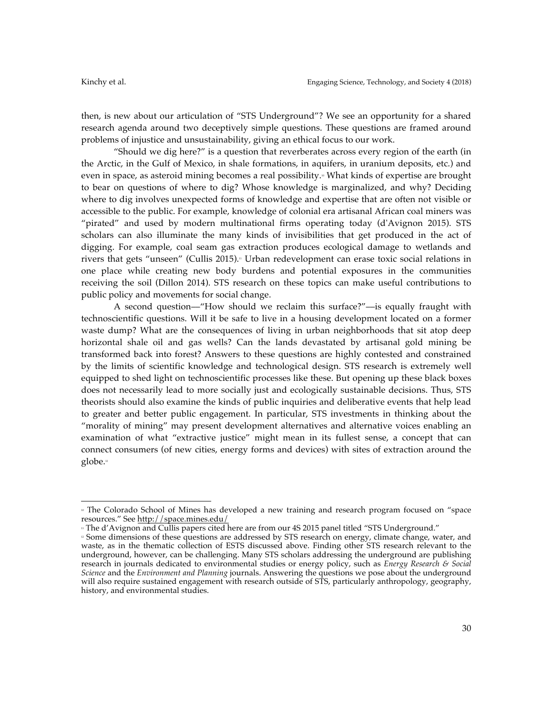then, is new about our articulation of "STS Underground"? We see an opportunity for a shared research agenda around two deceptively simple questions. These questions are framed around problems of injustice and unsustainability, giving an ethical focus to our work.

"Should we dig here?" is a question that reverberates across every region of the earth (in the Arctic, in the Gulf of Mexico, in shale formations, in aquifers, in uranium deposits, etc.) and even in space, as asteroid mining becomes a real possibility.<sup>®</sup> What kinds of expertise are brought to bear on questions of where to dig? Whose knowledge is marginalized, and why? Deciding where to dig involves unexpected forms of knowledge and expertise that are often not visible or accessible to the public. For example, knowledge of colonial era artisanal African coal miners was "pirated" and used by modern multinational firms operating today (d'Avignon 2015). STS scholars can also illuminate the many kinds of invisibilities that get produced in the act of digging. For example, coal seam gas extraction produces ecological damage to wetlands and rivers that gets "unseen" (Cullis 2015). Urban redevelopment can erase toxic social relations in one place while creating new body burdens and potential exposures in the communities receiving the soil (Dillon 2014). STS research on these topics can make useful contributions to public policy and movements for social change.

A second question––"How should we reclaim this surface?"––is equally fraught with technoscientific questions. Will it be safe to live in a housing development located on a former waste dump? What are the consequences of living in urban neighborhoods that sit atop deep horizontal shale oil and gas wells? Can the lands devastated by artisanal gold mining be transformed back into forest? Answers to these questions are highly contested and constrained by the limits of scientific knowledge and technological design. STS research is extremely well equipped to shed light on technoscientific processes like these. But opening up these black boxes does not necessarily lead to more socially just and ecologically sustainable decisions. Thus, STS theorists should also examine the kinds of public inquiries and deliberative events that help lead to greater and better public engagement. In particular, STS investments in thinking about the "morality of mining" may present development alternatives and alternative voices enabling an examination of what "extractive justice" might mean in its fullest sense, a concept that can connect consumers (of new cities, energy forms and devices) with sites of extraction around the globe.<sup>12</sup>

 

<sup>10</sup> The Colorado School of Mines has developed a new training and research program focused on "space resources." See http://space.mines.edu/

<sup>&</sup>quot; The d'Avignon and Cullis papers cited here are from our 4S 2015 panel titled "STS Underground."

<sup>12</sup> Some dimensions of these questions are addressed by STS research on energy, climate change, water, and waste, as in the thematic collection of ESTS discussed above. Finding other STS research relevant to the underground, however, can be challenging. Many STS scholars addressing the underground are publishing research in journals dedicated to environmental studies or energy policy, such as *Energy Research & Social Science* and the *Environment and Planning* journals. Answering the questions we pose about the underground will also require sustained engagement with research outside of STS, particularly anthropology, geography, history, and environmental studies.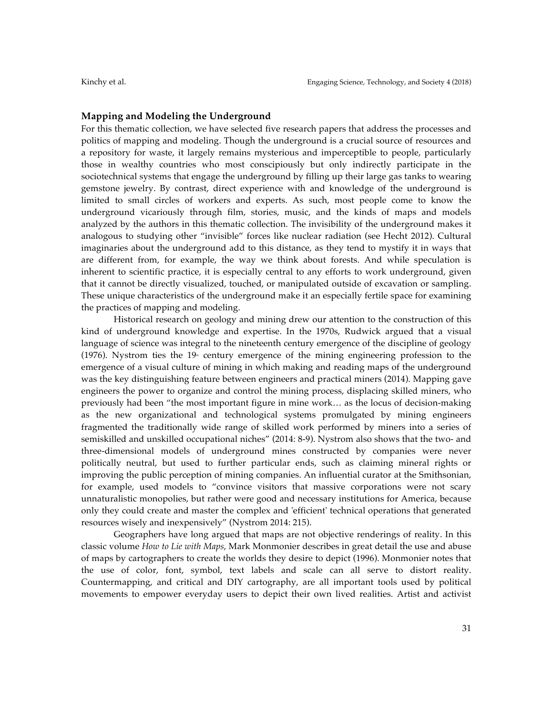### **Mapping and Modeling the Underground**

For this thematic collection, we have selected five research papers that address the processes and politics of mapping and modeling. Though the underground is a crucial source of resources and a repository for waste, it largely remains mysterious and imperceptible to people, particularly those in wealthy countries who most conscipiously but only indirectly participate in the sociotechnical systems that engage the underground by filling up their large gas tanks to wearing gemstone jewelry. By contrast, direct experience with and knowledge of the underground is limited to small circles of workers and experts. As such, most people come to know the underground vicariously through film, stories, music, and the kinds of maps and models analyzed by the authors in this thematic collection. The invisibility of the underground makes it analogous to studying other "invisible" forces like nuclear radiation (see Hecht 2012). Cultural imaginaries about the underground add to this distance, as they tend to mystify it in ways that are different from, for example, the way we think about forests. And while speculation is inherent to scientific practice, it is especially central to any efforts to work underground, given that it cannot be directly visualized, touched, or manipulated outside of excavation or sampling. These unique characteristics of the underground make it an especially fertile space for examining the practices of mapping and modeling.

Historical research on geology and mining drew our attention to the construction of this kind of underground knowledge and expertise. In the 1970s, Rudwick argued that a visual language of science was integral to the nineteenth century emergence of the discipline of geology (1976). Nystrom ties the 19 $\textdegree$  century emergence of the mining engineering profession to the emergence of a visual culture of mining in which making and reading maps of the underground was the key distinguishing feature between engineers and practical miners (2014). Mapping gave engineers the power to organize and control the mining process, displacing skilled miners, who previously had been "the most important figure in mine work… as the locus of decision-making as the new organizational and technological systems promulgated by mining engineers fragmented the traditionally wide range of skilled work performed by miners into a series of semiskilled and unskilled occupational niches" (2014: 8-9). Nystrom also shows that the two- and three-dimensional models of underground mines constructed by companies were never politically neutral, but used to further particular ends, such as claiming mineral rights or improving the public perception of mining companies. An influential curator at the Smithsonian, for example, used models to "convince visitors that massive corporations were not scary unnaturalistic monopolies, but rather were good and necessary institutions for America, because only they could create and master the complex and 'efficient' technical operations that generated resources wisely and inexpensively" (Nystrom 2014: 215).

Geographers have long argued that maps are not objective renderings of reality. In this classic volume *How to Lie with Maps*, Mark Monmonier describes in great detail the use and abuse of maps by cartographers to create the worlds they desire to depict (1996). Monmonier notes that the use of color, font, symbol, text labels and scale can all serve to distort reality. Countermapping, and critical and DIY cartography, are all important tools used by political movements to empower everyday users to depict their own lived realities. Artist and activist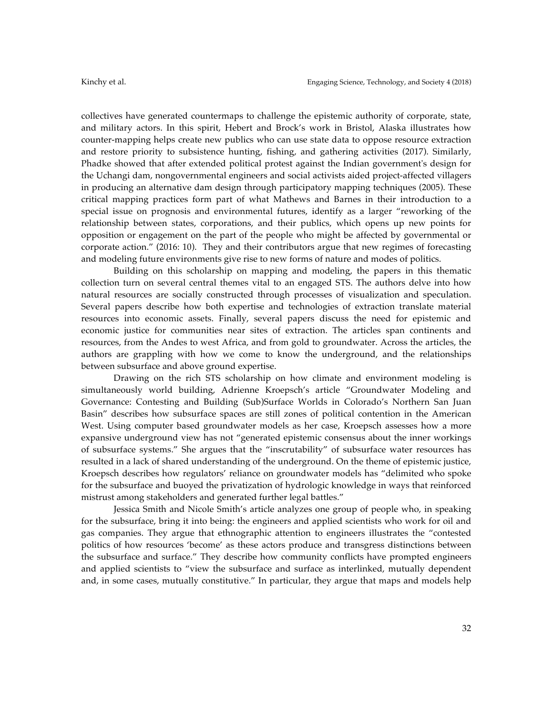collectives have generated countermaps to challenge the epistemic authority of corporate, state, and military actors. In this spirit, Hebert and Brock's work in Bristol, Alaska illustrates how counter-mapping helps create new publics who can use state data to oppose resource extraction and restore priority to subsistence hunting, fishing, and gathering activities (2017). Similarly, Phadke showed that after extended political protest against the Indian government's design for the Uchangi dam, nongovernmental engineers and social activists aided project-affected villagers in producing an alternative dam design through participatory mapping techniques (2005). These critical mapping practices form part of what Mathews and Barnes in their introduction to a special issue on prognosis and environmental futures, identify as a larger "reworking of the relationship between states, corporations, and their publics, which opens up new points for opposition or engagement on the part of the people who might be affected by governmental or corporate action." (2016: 10). They and their contributors argue that new regimes of forecasting and modeling future environments give rise to new forms of nature and modes of politics.

Building on this scholarship on mapping and modeling, the papers in this thematic collection turn on several central themes vital to an engaged STS. The authors delve into how natural resources are socially constructed through processes of visualization and speculation. Several papers describe how both expertise and technologies of extraction translate material resources into economic assets. Finally, several papers discuss the need for epistemic and economic justice for communities near sites of extraction. The articles span continents and resources, from the Andes to west Africa, and from gold to groundwater. Across the articles, the authors are grappling with how we come to know the underground, and the relationships between subsurface and above ground expertise.

Drawing on the rich STS scholarship on how climate and environment modeling is simultaneously world building, Adrienne Kroepsch's article "Groundwater Modeling and Governance: Contesting and Building (Sub)Surface Worlds in Colorado's Northern San Juan Basin" describes how subsurface spaces are still zones of political contention in the American West. Using computer based groundwater models as her case, Kroepsch assesses how a more expansive underground view has not "generated epistemic consensus about the inner workings of subsurface systems." She argues that the "inscrutability" of subsurface water resources has resulted in a lack of shared understanding of the underground. On the theme of epistemic justice, Kroepsch describes how regulators' reliance on groundwater models has "delimited who spoke for the subsurface and buoyed the privatization of hydrologic knowledge in ways that reinforced mistrust among stakeholders and generated further legal battles."

Jessica Smith and Nicole Smith's article analyzes one group of people who, in speaking for the subsurface, bring it into being: the engineers and applied scientists who work for oil and gas companies. They argue that ethnographic attention to engineers illustrates the "contested politics of how resources 'become' as these actors produce and transgress distinctions between the subsurface and surface." They describe how community conflicts have prompted engineers and applied scientists to "view the subsurface and surface as interlinked, mutually dependent and, in some cases, mutually constitutive." In particular, they argue that maps and models help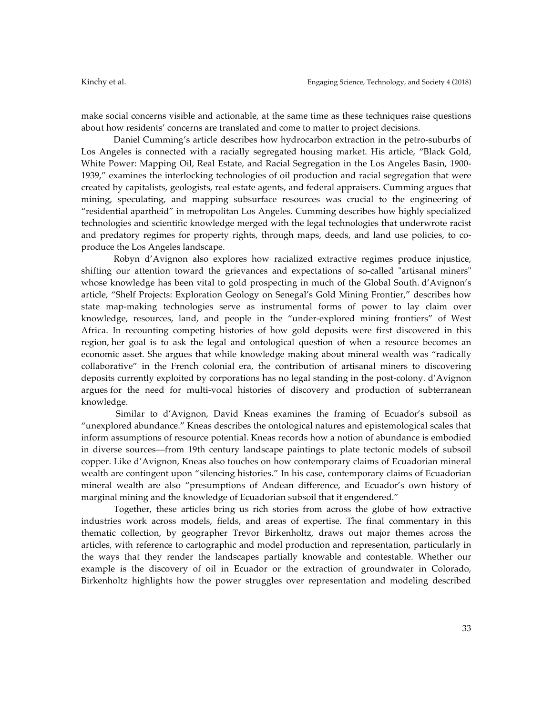make social concerns visible and actionable, at the same time as these techniques raise questions about how residents' concerns are translated and come to matter to project decisions.

Daniel Cumming's article describes how hydrocarbon extraction in the petro-suburbs of Los Angeles is connected with a racially segregated housing market. His article, "Black Gold, White Power: Mapping Oil, Real Estate, and Racial Segregation in the Los Angeles Basin, 1900- 1939," examines the interlocking technologies of oil production and racial segregation that were created by capitalists, geologists, real estate agents, and federal appraisers. Cumming argues that mining, speculating, and mapping subsurface resources was crucial to the engineering of "residential apartheid" in metropolitan Los Angeles. Cumming describes how highly specialized technologies and scientific knowledge merged with the legal technologies that underwrote racist and predatory regimes for property rights, through maps, deeds, and land use policies, to coproduce the Los Angeles landscape.

Robyn d'Avignon also explores how racialized extractive regimes produce injustice, shifting our attention toward the grievances and expectations of so-called "artisanal miners" whose knowledge has been vital to gold prospecting in much of the Global South. d'Avignon's article, "Shelf Projects: Exploration Geology on Senegal's Gold Mining Frontier," describes how state map-making technologies serve as instrumental forms of power to lay claim over knowledge, resources, land, and people in the "under-explored mining frontiers" of West Africa. In recounting competing histories of how gold deposits were first discovered in this region, her goal is to ask the legal and ontological question of when a resource becomes an economic asset. She argues that while knowledge making about mineral wealth was "radically collaborative" in the French colonial era, the contribution of artisanal miners to discovering deposits currently exploited by corporations has no legal standing in the post-colony. d'Avignon argues for the need for multi-vocal histories of discovery and production of subterranean knowledge.

Similar to d'Avignon, David Kneas examines the framing of Ecuador's subsoil as "unexplored abundance." Kneas describes the ontological natures and epistemological scales that inform assumptions of resource potential. Kneas records how a notion of abundance is embodied in diverse sources––from 19th century landscape paintings to plate tectonic models of subsoil copper. Like d'Avignon, Kneas also touches on how contemporary claims of Ecuadorian mineral wealth are contingent upon "silencing histories." In his case, contemporary claims of Ecuadorian mineral wealth are also "presumptions of Andean difference, and Ecuador's own history of marginal mining and the knowledge of Ecuadorian subsoil that it engendered."

Together, these articles bring us rich stories from across the globe of how extractive industries work across models, fields, and areas of expertise. The final commentary in this thematic collection, by geographer Trevor Birkenholtz, draws out major themes across the articles, with reference to cartographic and model production and representation, particularly in the ways that they render the landscapes partially knowable and contestable. Whether our example is the discovery of oil in Ecuador or the extraction of groundwater in Colorado, Birkenholtz highlights how the power struggles over representation and modeling described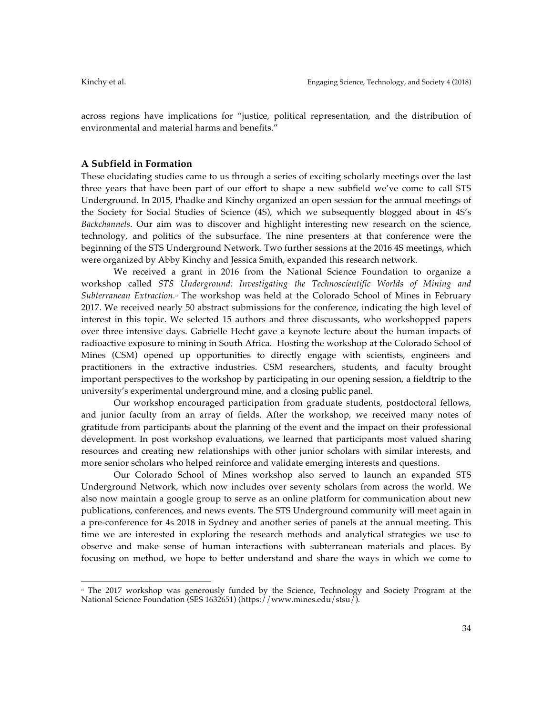across regions have implications for "justice, political representation, and the distribution of environmental and material harms and benefits."

#### **A Subfield in Formation**

 

These elucidating studies came to us through a series of exciting scholarly meetings over the last three years that have been part of our effort to shape a new subfield we've come to call STS Underground. In 2015, Phadke and Kinchy organized an open session for the annual meetings of the Society for Social Studies of Science (4S), which we subsequently blogged about in 4S's *Backchannels*. Our aim was to discover and highlight interesting new research on the science, technology, and politics of the subsurface. The nine presenters at that conference were the beginning of the STS Underground Network. Two further sessions at the 2016 4S meetings, which were organized by Abby Kinchy and Jessica Smith, expanded this research network.

We received a grant in 2016 from the National Science Foundation to organize a workshop called *STS Underground: Investigating the Technoscientific Worlds of Mining and Subterranean Extraction.13* The workshop was held at the Colorado School of Mines in February 2017. We received nearly 50 abstract submissions for the conference, indicating the high level of interest in this topic. We selected 15 authors and three discussants, who workshopped papers over three intensive days. Gabrielle Hecht gave a keynote lecture about the human impacts of radioactive exposure to mining in South Africa. Hosting the workshop at the Colorado School of Mines (CSM) opened up opportunities to directly engage with scientists, engineers and practitioners in the extractive industries. CSM researchers, students, and faculty brought important perspectives to the workshop by participating in our opening session, a fieldtrip to the university's experimental underground mine, and a closing public panel.

Our workshop encouraged participation from graduate students, postdoctoral fellows, and junior faculty from an array of fields. After the workshop, we received many notes of gratitude from participants about the planning of the event and the impact on their professional development. In post workshop evaluations, we learned that participants most valued sharing resources and creating new relationships with other junior scholars with similar interests, and more senior scholars who helped reinforce and validate emerging interests and questions.

Our Colorado School of Mines workshop also served to launch an expanded STS Underground Network, which now includes over seventy scholars from across the world. We also now maintain a google group to serve as an online platform for communication about new publications, conferences, and news events. The STS Underground community will meet again in a pre-conference for 4s 2018 in Sydney and another series of panels at the annual meeting. This time we are interested in exploring the research methods and analytical strategies we use to observe and make sense of human interactions with subterranean materials and places. By focusing on method, we hope to better understand and share the ways in which we come to

<sup>&</sup>lt;sup>13</sup> The 2017 workshop was generously funded by the Science, Technology and Society Program at the National Science Foundation (SES 1632651) (https://www.mines.edu/stsu/).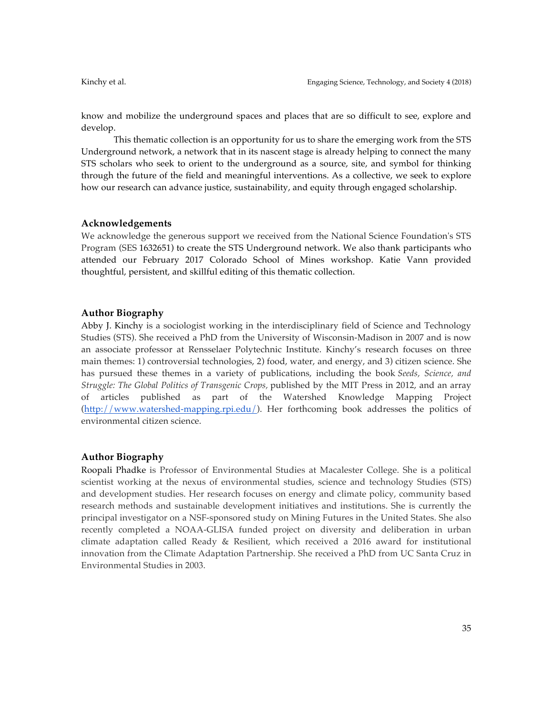know and mobilize the underground spaces and places that are so difficult to see, explore and develop.

This thematic collection is an opportunity for us to share the emerging work from the STS Underground network, a network that in its nascent stage is already helping to connect the many STS scholars who seek to orient to the underground as a source, site, and symbol for thinking through the future of the field and meaningful interventions. As a collective, we seek to explore how our research can advance justice, sustainability, and equity through engaged scholarship.

#### **Acknowledgements**

We acknowledge the generous support we received from the National Science Foundation's STS Program (SES 1632651) to create the STS Underground network. We also thank participants who attended our February 2017 Colorado School of Mines workshop. Katie Vann provided thoughtful, persistent, and skillful editing of this thematic collection.

# **Author Biography**

Abby J. Kinchy is a sociologist working in the interdisciplinary field of Science and Technology Studies (STS). She received a PhD from the University of Wisconsin-Madison in 2007 and is now an associate professor at Rensselaer Polytechnic Institute. Kinchy's research focuses on three main themes: 1) controversial technologies, 2) food, water, and energy, and 3) citizen science. She has pursued these themes in a variety of publications, including the book *Seeds, Science, and Struggle: The Global Politics of Transgenic Crops,* published by the MIT Press in 2012, and an array of articles published as part of the Watershed Knowledge Mapping Project (http://www.watershed-mapping.rpi.edu/). Her forthcoming book addresses the politics of environmental citizen science.

## **Author Biography**

Roopali Phadke is Professor of Environmental Studies at Macalester College. She is a political scientist working at the nexus of environmental studies, science and technology Studies (STS) and development studies. Her research focuses on energy and climate policy, community based research methods and sustainable development initiatives and institutions. She is currently the principal investigator on a NSF-sponsored study on Mining Futures in the United States. She also recently completed a NOAA-GLISA funded project on diversity and deliberation in urban climate adaptation called Ready & Resilient, which received a 2016 award for institutional innovation from the Climate Adaptation Partnership. She received a PhD from UC Santa Cruz in Environmental Studies in 2003.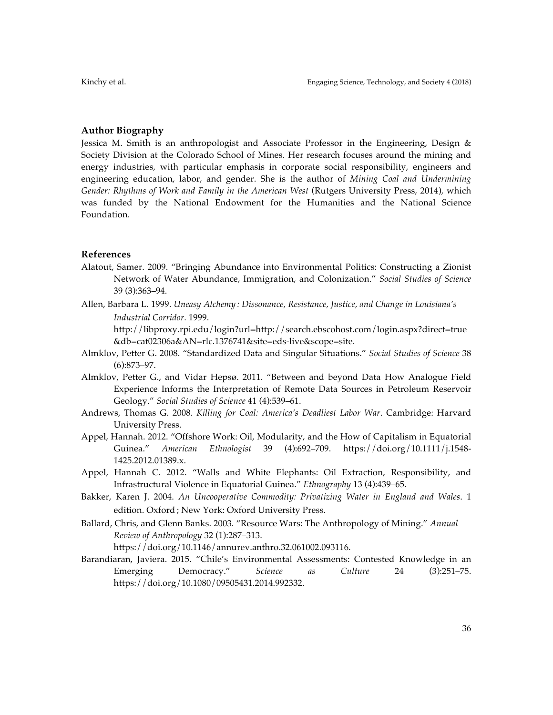### **Author Biography**

Jessica M. Smith is an anthropologist and Associate Professor in the Engineering, Design & Society Division at the Colorado School of Mines. Her research focuses around the mining and energy industries, with particular emphasis in corporate social responsibility, engineers and engineering education, labor, and gender. She is the author of *Mining Coal and Undermining Gender: Rhythms of Work and Family in the American West* (Rutgers University Press, 2014), which was funded by the National Endowment for the Humanities and the National Science Foundation.

### **References**

- Alatout, Samer. 2009. "Bringing Abundance into Environmental Politics: Constructing a Zionist Network of Water Abundance, Immigration, and Colonization." *Social Studies of Science* 39 (3):363–94.
- Allen, Barbara L. 1999. *Uneasy Alchemy : Dissonance, Resistance, Justice, and Change in Louisiana's Industrial Corridor.* 1999.

http://libproxy.rpi.edu/login?url=http://search.ebscohost.com/login.aspx?direct=true &db=cat02306a&AN=rlc.1376741&site=eds-live&scope=site.

- Almklov, Petter G. 2008. "Standardized Data and Singular Situations." *Social Studies of Science* 38 (6):873–97.
- Almklov, Petter G., and Vidar Hepsø. 2011. "Between and beyond Data How Analogue Field Experience Informs the Interpretation of Remote Data Sources in Petroleum Reservoir Geology." *Social Studies of Science* 41 (4):539–61.
- Andrews, Thomas G. 2008. *Killing for Coal: America's Deadliest Labor War*. Cambridge: Harvard University Press.
- Appel, Hannah. 2012. "Offshore Work: Oil, Modularity, and the How of Capitalism in Equatorial Guinea." *American Ethnologist* 39 (4):692–709. https://doi.org/10.1111/j.1548- 1425.2012.01389.x.
- Appel, Hannah C. 2012. "Walls and White Elephants: Oil Extraction, Responsibility, and Infrastructural Violence in Equatorial Guinea." *Ethnography* 13 (4):439–65.
- Bakker, Karen J. 2004. *An Uncooperative Commodity: Privatizing Water in England and Wales*. 1 edition. Oxford ; New York: Oxford University Press.
- Ballard, Chris, and Glenn Banks. 2003. "Resource Wars: The Anthropology of Mining." *Annual Review of Anthropology* 32 (1):287–313.

https://doi.org/10.1146/annurev.anthro.32.061002.093116.

Barandiaran, Javiera. 2015. "Chile's Environmental Assessments: Contested Knowledge in an Emerging Democracy." *Science as Culture* 24 (3):251–75. https://doi.org/10.1080/09505431.2014.992332.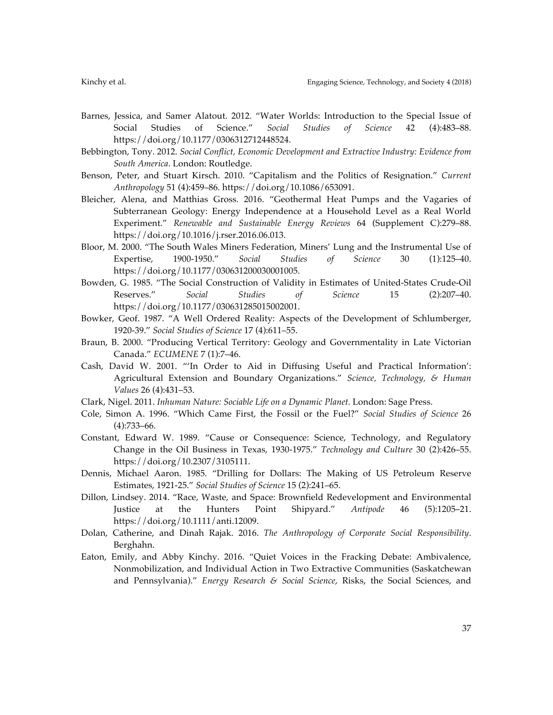- Barnes, Jessica, and Samer Alatout. 2012. "Water Worlds: Introduction to the Special Issue of Social Studies of Science." *Social Studies of Science* 42 (4):483–88. https://doi.org/10.1177/0306312712448524.
- Bebbington, Tony. 2012. *Social Conflict, Economic Development and Extractive Industry: Evidence from South America*. London: Routledge.
- Benson, Peter, and Stuart Kirsch. 2010. "Capitalism and the Politics of Resignation." *Current Anthropology* 51 (4):459–86. https://doi.org/10.1086/653091.
- Bleicher, Alena, and Matthias Gross. 2016. "Geothermal Heat Pumps and the Vagaries of Subterranean Geology: Energy Independence at a Household Level as a Real World Experiment." *Renewable and Sustainable Energy Reviews* 64 (Supplement C):279–88. https://doi.org/10.1016/j.rser.2016.06.013.
- Bloor, M. 2000. "The South Wales Miners Federation, Miners' Lung and the Instrumental Use of Expertise, 1900-1950." *Social Studies of Science* 30 (1):125–40. https://doi.org/10.1177/030631200030001005.
- Bowden, G. 1985. "The Social Construction of Validity in Estimates of United-States Crude-Oil Reserves." *Social Studies of Science* 15 (2):207–40. https://doi.org/10.1177/030631285015002001.
- Bowker, Geof. 1987. "A Well Ordered Reality: Aspects of the Development of Schlumberger, 1920-39." *Social Studies of Science* 17 (4):611–55.
- Braun, B. 2000. "Producing Vertical Territory: Geology and Governmentality in Late Victorian Canada." *ECUMENE* 7 (1):7–46.
- Cash, David W. 2001. "'In Order to Aid in Diffusing Useful and Practical Information': Agricultural Extension and Boundary Organizations." *Science, Technology, & Human Values* 26 (4):431–53.
- Clark, Nigel. 2011. *Inhuman Nature: Sociable Life on a Dynamic Planet.* London: Sage Press.
- Cole, Simon A. 1996. "Which Came First, the Fossil or the Fuel?" *Social Studies of Science* 26 (4):733–66.
- Constant, Edward W. 1989. "Cause or Consequence: Science, Technology, and Regulatory Change in the Oil Business in Texas, 1930-1975." *Technology and Culture* 30 (2):426–55. https://doi.org/10.2307/3105111.
- Dennis, Michael Aaron. 1985. "Drilling for Dollars: The Making of US Petroleum Reserve Estimates, 1921-25." *Social Studies of Science* 15 (2):241–65.
- Dillon, Lindsey. 2014. "Race, Waste, and Space: Brownfield Redevelopment and Environmental Justice at the Hunters Point Shipyard." *Antipode* 46 (5):1205–21. https://doi.org/10.1111/anti.12009.
- Dolan, Catherine, and Dinah Rajak. 2016. *The Anthropology of Corporate Social Responsibility*. Berghahn.
- Eaton, Emily, and Abby Kinchy. 2016. "Quiet Voices in the Fracking Debate: Ambivalence, Nonmobilization, and Individual Action in Two Extractive Communities (Saskatchewan and Pennsylvania)." *Energy Research & Social Science*, Risks, the Social Sciences, and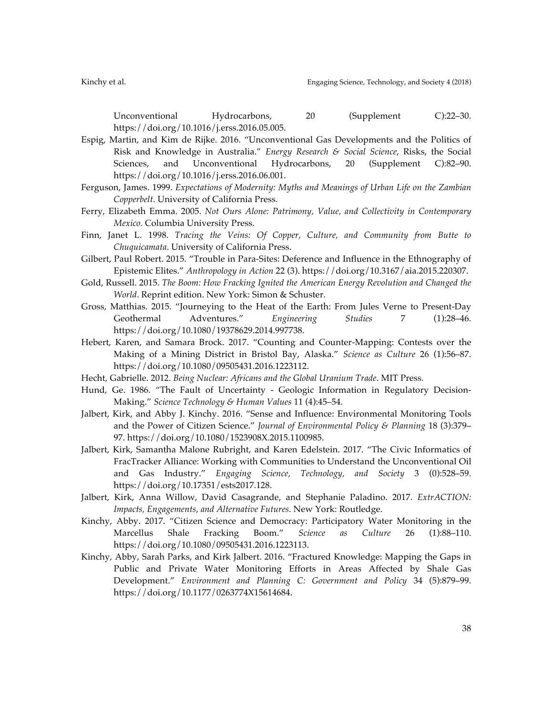Unconventional Hydrocarbons, 20 (Supplement C):22–30. https://doi.org/10.1016/j.erss.2016.05.005.

- Espig, Martin, and Kim de Rijke. 2016. "Unconventional Gas Developments and the Politics of Risk and Knowledge in Australia." *Energy Research & Social Science*, Risks, the Social Sciences, and Unconventional Hydrocarbons, 20 (Supplement C):82–90. https://doi.org/10.1016/j.erss.2016.06.001.
- Ferguson, James. 1999. *Expectations of Modernity: Myths and Meanings of Urban Life on the Zambian Copperbelt*. University of California Press.
- Ferry, Elizabeth Emma. 2005. *Not Ours Alone: Patrimony, Value, and Collectivity in Contemporary Mexico*. Columbia University Press.
- Finn, Janet L. 1998. *Tracing the Veins: Of Copper, Culture, and Community from Butte to Chuquicamata*. University of California Press.
- Gilbert, Paul Robert. 2015. "Trouble in Para-Sites: Deference and Influence in the Ethnography of Epistemic Elites." *Anthropology in Action* 22 (3). https://doi.org/10.3167/aia.2015.220307.
- Gold, Russell. 2015. *The Boom: How Fracking Ignited the American Energy Revolution and Changed the World*. Reprint edition. New York: Simon & Schuster.
- Gross, Matthias. 2015. "Journeying to the Heat of the Earth: From Jules Verne to Present-Day Geothermal Adventures." *Engineering Studies* 7 (1):28–46. https://doi.org/10.1080/19378629.2014.997738.
- Hebert, Karen, and Samara Brock. 2017. "Counting and Counter-Mapping: Contests over the Making of a Mining District in Bristol Bay, Alaska." *Science as Culture* 26 (1):56–87. https://doi.org/10.1080/09505431.2016.1223112.
- Hecht, Gabrielle. 2012. *Being Nuclear: Africans and the Global Uranium Trade*. MIT Press.
- Hund, Ge. 1986. "The Fault of Uncertainty Geologic Information in Regulatory Decision-Making." *Science Technology & Human Values* 11 (4):45–54.
- Jalbert, Kirk, and Abby J. Kinchy. 2016. "Sense and Influence: Environmental Monitoring Tools and the Power of Citizen Science." *Journal of Environmental Policy & Planning* 18 (3):379– 97. https://doi.org/10.1080/1523908X.2015.1100985.
- Jalbert, Kirk, Samantha Malone Rubright, and Karen Edelstein. 2017. "The Civic Informatics of FracTracker Alliance: Working with Communities to Understand the Unconventional Oil and Gas Industry." *Engaging Science, Technology, and Society* 3 (0):528–59. https://doi.org/10.17351/ests2017.128.
- Jalbert, Kirk, Anna Willow, David Casagrande, and Stephanie Paladino. 2017. *ExtrACTION: Impacts, Engagements, and Alternative Futures*. New York: Routledge.
- Kinchy, Abby. 2017. "Citizen Science and Democracy: Participatory Water Monitoring in the Marcellus Shale Fracking Boom." *Science as Culture* 26 (1):88–110. https://doi.org/10.1080/09505431.2016.1223113.
- Kinchy, Abby, Sarah Parks, and Kirk Jalbert. 2016. "Fractured Knowledge: Mapping the Gaps in Public and Private Water Monitoring Efforts in Areas Affected by Shale Gas Development." *Environment and Planning C: Government and Policy* 34 (5):879–99. https://doi.org/10.1177/0263774X15614684.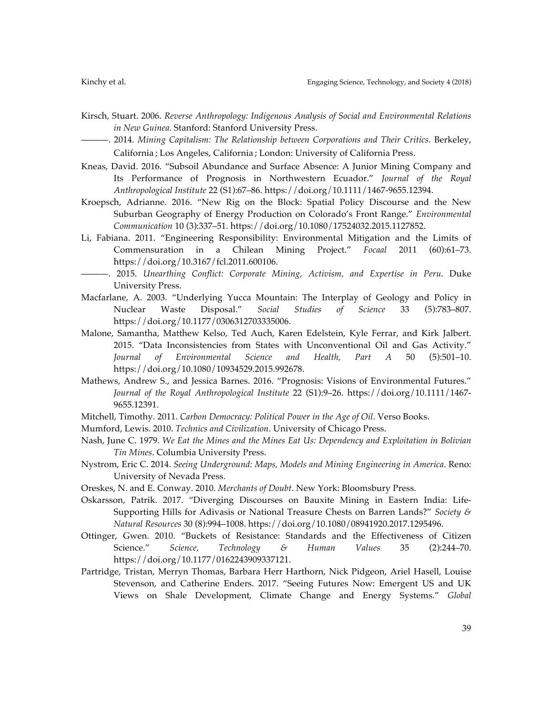- Kirsch, Stuart. 2006. *Reverse Anthropology: Indigenous Analysis of Social and Environmental Relations in New Guinea*. Stanford: Stanford University Press.
	- ———. 2014. *Mining Capitalism: The Relationship between Corporations and Their Critics*. Berkeley, California ; Los Angeles, California ; London: University of California Press.
- Kneas, David. 2016. "Subsoil Abundance and Surface Absence: A Junior Mining Company and Its Performance of Prognosis in Northwestern Ecuador." *Journal of the Royal Anthropological Institute* 22 (S1):67–86. https://doi.org/10.1111/1467-9655.12394.
- Kroepsch, Adrianne. 2016. "New Rig on the Block: Spatial Policy Discourse and the New Suburban Geography of Energy Production on Colorado's Front Range." *Environmental Communication* 10 (3):337–51. https://doi.org/10.1080/17524032.2015.1127852.
- Li, Fabiana. 2011. "Engineering Responsibility: Environmental Mitigation and the Limits of Commensuration in a Chilean Mining Project." *Focaal* 2011 (60):61–73. https://doi.org/10.3167/fcl.2011.600106.
	- ———. 2015. *Unearthing Conflict: Corporate Mining, Activism, and Expertise in Peru*. Duke University Press.
- Macfarlane, A. 2003. "Underlying Yucca Mountain: The Interplay of Geology and Policy in Nuclear Waste Disposal." *Social Studies of Science* 33 (5):783–807. https://doi.org/10.1177/0306312703335006.
- Malone, Samantha, Matthew Kelso, Ted Auch, Karen Edelstein, Kyle Ferrar, and Kirk Jalbert. 2015. "Data Inconsistencies from States with Unconventional Oil and Gas Activity." *Journal of Environmental Science and Health, Part A* 50 (5):501–10. https://doi.org/10.1080/10934529.2015.992678.
- Mathews, Andrew S., and Jessica Barnes. 2016. "Prognosis: Visions of Environmental Futures." *Journal of the Royal Anthropological Institute* 22 (S1):9–26. https://doi.org/10.1111/1467- 9655.12391.
- Mitchell, Timothy. 2011. *Carbon Democracy: Political Power in the Age of Oil*. Verso Books.
- Mumford, Lewis. 2010. *Technics and Civilization*. University of Chicago Press.
- Nash, June C. 1979. *We Eat the Mines and the Mines Eat Us: Dependency and Exploitation in Bolivian Tin Mines*. Columbia University Press.
- Nystrom, Eric C. 2014. *Seeing Underground: Maps, Models and Mining Engineering in America*. Reno: University of Nevada Press.
- Oreskes, N. and E. Conway. 2010. *Merchants of Doubt*. New York: Bloomsbury Press.
- Oskarsson, Patrik. 2017. "Diverging Discourses on Bauxite Mining in Eastern India: Life-Supporting Hills for Adivasis or National Treasure Chests on Barren Lands?" *Society & Natural Resources* 30 (8):994–1008. https://doi.org/10.1080/08941920.2017.1295496.
- Ottinger, Gwen. 2010. "Buckets of Resistance: Standards and the Effectiveness of Citizen Science." *Science, Technology & Human Values* 35 (2):244–70. https://doi.org/10.1177/0162243909337121.
- Partridge, Tristan, Merryn Thomas, Barbara Herr Harthorn, Nick Pidgeon, Ariel Hasell, Louise Stevenson, and Catherine Enders. 2017. "Seeing Futures Now: Emergent US and UK Views on Shale Development, Climate Change and Energy Systems." *Global*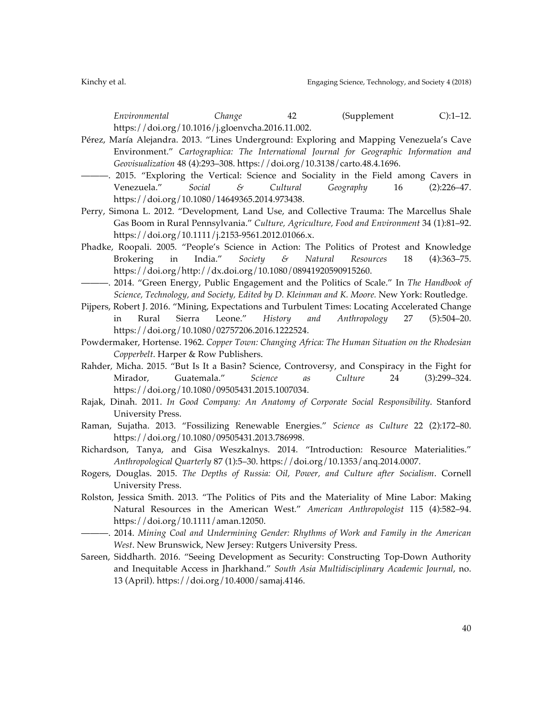*Environmental Change* 42 (Supplement C):1–12. https://doi.org/10.1016/j.gloenvcha.2016.11.002.

- Pérez, María Alejandra. 2013. "Lines Underground: Exploring and Mapping Venezuela's Cave Environment." *Cartographica: The International Journal for Geographic Information and Geovisualization* 48 (4):293–308. https://doi.org/10.3138/carto.48.4.1696.
- ———. 2015. "Exploring the Vertical: Science and Sociality in the Field among Cavers in Venezuela." *Social & Cultural Geography* 16 (2):226–47. https://doi.org/10.1080/14649365.2014.973438.
- Perry, Simona L. 2012. "Development, Land Use, and Collective Trauma: The Marcellus Shale Gas Boom in Rural Pennsylvania." *Culture, Agriculture, Food and Environment* 34 (1):81–92. https://doi.org/10.1111/j.2153-9561.2012.01066.x.
- Phadke, Roopali. 2005. "People's Science in Action: The Politics of Protest and Knowledge Brokering in India." *Society & Natural Resources* 18 (4):363–75. https://doi.org/http://dx.doi.org/10.1080/08941920590915260.
- ———. 2014. "Green Energy, Public Engagement and the Politics of Scale." In *The Handbook of Science, Technology, and Society, Edited by D. Kleinman and K. Moore.* New York: Routledge.
- Pijpers, Robert J. 2016. "Mining, Expectations and Turbulent Times: Locating Accelerated Change in Rural Sierra Leone." *History and Anthropology* 27 (5):504–20. https://doi.org/10.1080/02757206.2016.1222524.
- Powdermaker, Hortense. 1962. *Copper Town: Changing Africa: The Human Situation on the Rhodesian Copperbelt*. Harper & Row Publishers.
- Rahder, Micha. 2015. "But Is It a Basin? Science, Controversy, and Conspiracy in the Fight for Mirador, Guatemala." *Science as Culture* 24 (3):299–324. https://doi.org/10.1080/09505431.2015.1007034.
- Rajak, Dinah. 2011. *In Good Company: An Anatomy of Corporate Social Responsibility*. Stanford University Press.
- Raman, Sujatha. 2013. "Fossilizing Renewable Energies." *Science as Culture* 22 (2):172–80. https://doi.org/10.1080/09505431.2013.786998.
- Richardson, Tanya, and Gisa Weszkalnys. 2014. "Introduction: Resource Materialities." *Anthropological Quarterly* 87 (1):5–30. https://doi.org/10.1353/anq.2014.0007.
- Rogers, Douglas. 2015. *The Depths of Russia: Oil, Power, and Culture after Socialism*. Cornell University Press.
- Rolston, Jessica Smith. 2013. "The Politics of Pits and the Materiality of Mine Labor: Making Natural Resources in the American West." *American Anthropologist* 115 (4):582–94. https://doi.org/10.1111/aman.12050.
- ———. 2014. *Mining Coal and Undermining Gender: Rhythms of Work and Family in the American West*. New Brunswick, New Jersey: Rutgers University Press.
- Sareen, Siddharth. 2016. "Seeing Development as Security: Constructing Top-Down Authority and Inequitable Access in Jharkhand." *South Asia Multidisciplinary Academic Journal*, no. 13 (April). https://doi.org/10.4000/samaj.4146.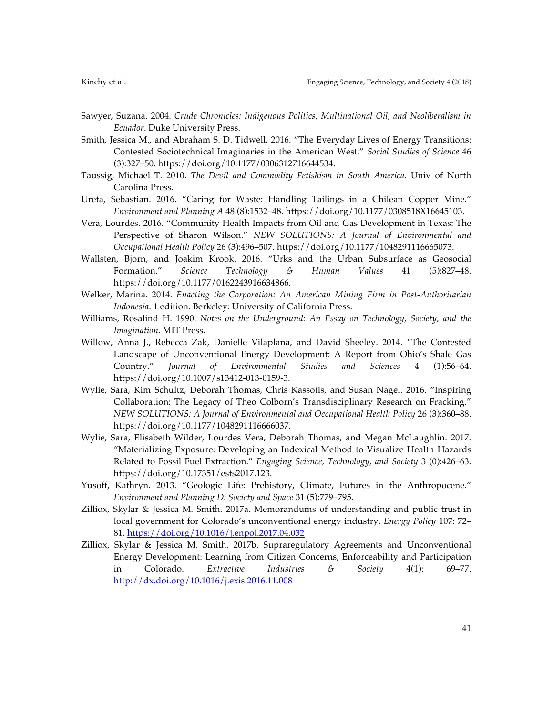- Sawyer, Suzana. 2004. *Crude Chronicles: Indigenous Politics, Multinational Oil, and Neoliberalism in Ecuador*. Duke University Press.
- Smith, Jessica M., and Abraham S. D. Tidwell. 2016. "The Everyday Lives of Energy Transitions: Contested Sociotechnical Imaginaries in the American West." *Social Studies of Science* 46 (3):327–50. https://doi.org/10.1177/0306312716644534.
- Taussig, Michael T. 2010. *The Devil and Commodity Fetishism in South America*. Univ of North Carolina Press.
- Ureta, Sebastian. 2016. "Caring for Waste: Handling Tailings in a Chilean Copper Mine." *Environment and Planning A* 48 (8):1532–48. https://doi.org/10.1177/0308518X16645103.
- Vera, Lourdes. 2016. "Community Health Impacts from Oil and Gas Development in Texas: The Perspective of Sharon Wilson." *NEW SOLUTIONS: A Journal of Environmental and Occupational Health Policy* 26 (3):496–507. https://doi.org/10.1177/1048291116665073.
- Wallsten, Bjorn, and Joakim Krook. 2016. "Urks and the Urban Subsurface as Geosocial Formation." *Science Technology & Human Values* 41 (5):827–48. https://doi.org/10.1177/0162243916634866.
- Welker, Marina. 2014. *Enacting the Corporation: An American Mining Firm in Post-Authoritarian Indonesia*. 1 edition. Berkeley: University of California Press.
- Williams, Rosalind H. 1990. *Notes on the Underground: An Essay on Technology, Society, and the Imagination*. MIT Press.
- Willow, Anna J., Rebecca Zak, Danielle Vilaplana, and David Sheeley. 2014. "The Contested Landscape of Unconventional Energy Development: A Report from Ohio's Shale Gas Country." *Journal of Environmental Studies and Sciences* 4 (1):56–64. https://doi.org/10.1007/s13412-013-0159-3.
- Wylie, Sara, Kim Schultz, Deborah Thomas, Chris Kassotis, and Susan Nagel. 2016. "Inspiring Collaboration: The Legacy of Theo Colborn's Transdisciplinary Research on Fracking." *NEW SOLUTIONS: A Journal of Environmental and Occupational Health Policy* 26 (3):360–88. https://doi.org/10.1177/1048291116666037.
- Wylie, Sara, Elisabeth Wilder, Lourdes Vera, Deborah Thomas, and Megan McLaughlin. 2017. "Materializing Exposure: Developing an Indexical Method to Visualize Health Hazards Related to Fossil Fuel Extraction." *Engaging Science, Technology, and Society* 3 (0):426–63. https://doi.org/10.17351/ests2017.123.
- Yusoff, Kathryn. 2013. "Geologic Life: Prehistory, Climate, Futures in the Anthropocene." *Environment and Planning D: Society and Space* 31 (5):779–795.
- Zilliox, Skylar & Jessica M. Smith. 2017a. Memorandums of understanding and public trust in local government for Colorado's unconventional energy industry. *Energy Policy* 107: 72– 81. https://doi.org/10.1016/j.enpol.2017.04.032
- Zilliox, Skylar & Jessica M. Smith. 2017b. Supraregulatory Agreements and Unconventional Energy Development: Learning from Citizen Concerns, Enforceability and Participation in Colorado. *Extractive Industries & Society* 4(1): 69–77. http://dx.doi.org/10.1016/j.exis.2016.11.008